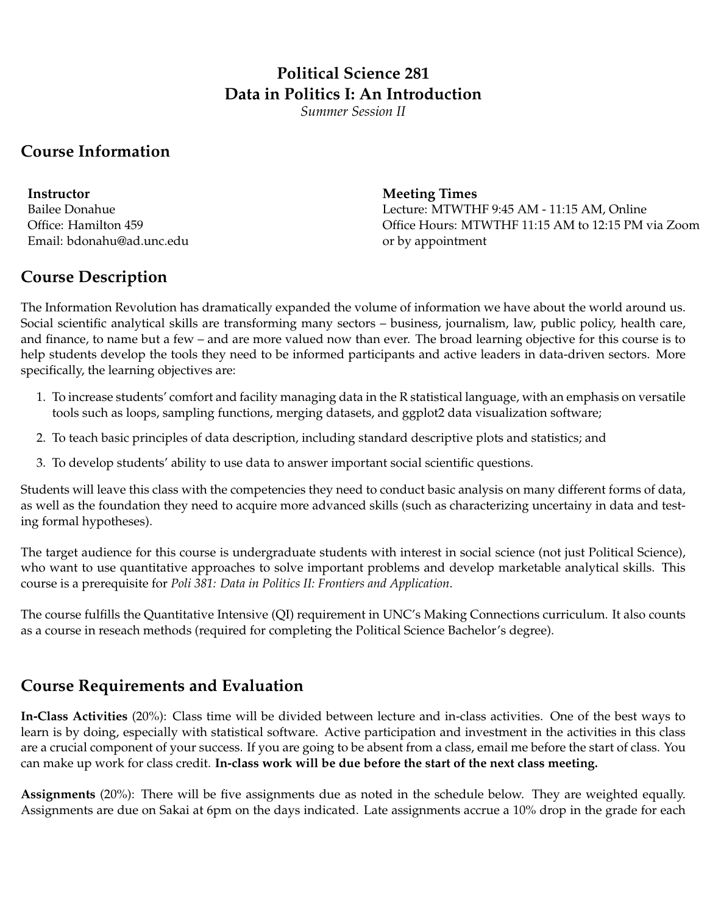# **Political Science 281 Data in Politics I: An Introduction**

*Summer Session II*

#### **Course Information**

**Instructor** Meeting Times Email: bdonahu@ad.unc.edu or by appointment

Bailee Donahue Lecture: MTWTHF 9:45 AM - 11:15 AM, Online Office: Hamilton 459 Office Hours: MTWTHF 11:15 AM to 12:15 PM via Zoom

#### **Course Description**

The Information Revolution has dramatically expanded the volume of information we have about the world around us. Social scientific analytical skills are transforming many sectors – business, journalism, law, public policy, health care, and finance, to name but a few – and are more valued now than ever. The broad learning objective for this course is to help students develop the tools they need to be informed participants and active leaders in data-driven sectors. More specifically, the learning objectives are:

- 1. To increase students' comfort and facility managing data in the R statistical language, with an emphasis on versatile tools such as loops, sampling functions, merging datasets, and ggplot2 data visualization software;
- 2. To teach basic principles of data description, including standard descriptive plots and statistics; and
- 3. To develop students' ability to use data to answer important social scientific questions.

Students will leave this class with the competencies they need to conduct basic analysis on many different forms of data, as well as the foundation they need to acquire more advanced skills (such as characterizing uncertainy in data and testing formal hypotheses).

The target audience for this course is undergraduate students with interest in social science (not just Political Science), who want to use quantitative approaches to solve important problems and develop marketable analytical skills. This course is a prerequisite for *Poli 381: Data in Politics II: Frontiers and Application*.

The course fulfills the Quantitative Intensive (QI) requirement in UNC's Making Connections curriculum. It also counts as a course in reseach methods (required for completing the Political Science Bachelor's degree).

### **Course Requirements and Evaluation**

**In-Class Activities** (20%): Class time will be divided between lecture and in-class activities. One of the best ways to learn is by doing, especially with statistical software. Active participation and investment in the activities in this class are a crucial component of your success. If you are going to be absent from a class, email me before the start of class. You can make up work for class credit. **In-class work will be due before the start of the next class meeting.**

**Assignments** (20%): There will be five assignments due as noted in the schedule below. They are weighted equally. Assignments are due on Sakai at 6pm on the days indicated. Late assignments accrue a 10% drop in the grade for each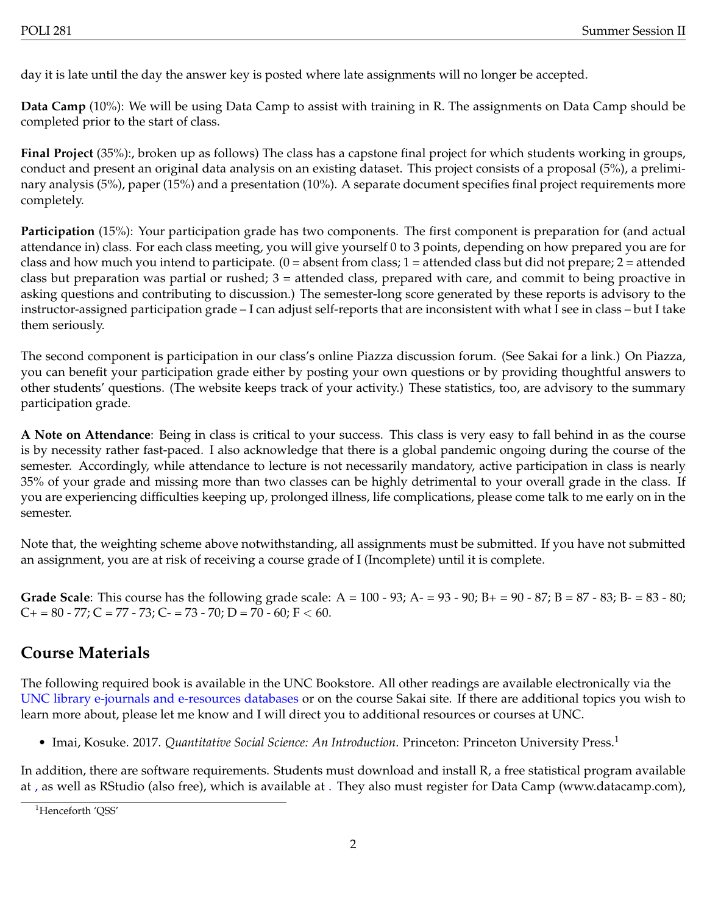day it is late until the day the answer key is posted where late assignments will no longer be accepted.

**Data Camp** (10%): We will be using Data Camp to assist with training in R. The assignments on Data Camp should be completed prior to the start of class.

**Final Project** (35%):, broken up as follows) The class has a capstone final project for which students working in groups, conduct and present an original data analysis on an existing dataset. This project consists of a proposal (5%), a preliminary analysis (5%), paper (15%) and a presentation (10%). A separate document specifies final project requirements more completely.

**Participation** (15%): Your participation grade has two components. The first component is preparation for (and actual attendance in) class. For each class meeting, you will give yourself 0 to 3 points, depending on how prepared you are for class and how much you intend to participate.  $(0 =$  absent from class;  $1 =$  attended class but did not prepare;  $2 =$  attended class but preparation was partial or rushed; 3 = attended class, prepared with care, and commit to being proactive in asking questions and contributing to discussion.) The semester-long score generated by these reports is advisory to the instructor-assigned participation grade – I can adjust self-reports that are inconsistent with what I see in class – but I take them seriously.

The second component is participation in our class's online Piazza discussion forum. (See Sakai for a link.) On Piazza, you can benefit your participation grade either by posting your own questions or by providing thoughtful answers to other students' questions. (The website keeps track of your activity.) These statistics, too, are advisory to the summary participation grade.

**A Note on Attendance**: Being in class is critical to your success. This class is very easy to fall behind in as the course is by necessity rather fast-paced. I also acknowledge that there is a global pandemic ongoing during the course of the semester. Accordingly, while attendance to lecture is not necessarily mandatory, active participation in class is nearly 35% of your grade and missing more than two classes can be highly detrimental to your overall grade in the class. If you are experiencing difficulties keeping up, prolonged illness, life complications, please come talk to me early on in the semester.

Note that, the weighting scheme above notwithstanding, all assignments must be submitted. If you have not submitted an assignment, you are at risk of receiving a course grade of I (Incomplete) until it is complete.

**Grade Scale**: This course has the following grade scale: A = 100 - 93; A- = 93 - 90; B+ = 90 - 87; B = 87 - 83; B- = 83 - 80;  $C_{\pm} = 80 - 77$ ;  $C = 77 - 73$ ;  $C_{\pm} = 73 - 70$ ;  $D = 70 - 60$ ;  $F < 60$ .

## **Course Materials**

The following required book is available in the UNC Bookstore. All other readings are available electronically via the [UNC library e-journals and e-resources databases](http://www.lib.unc.edu/index.html.searchtab=ejournals) or on the course Sakai site. If there are additional topics you wish to learn more about, please let me know and I will direct you to additional resources or courses at UNC.

• Imai, Kosuke. 20[1](#page-1-0)7. *Quantitative Social Science: An Introduction*. Princeton: Princeton University Press.<sup>1</sup>

In addition, there are software requirements. Students must download and install R, a free statistical program available at [,](http://cran.r-project.org/) as well as RStudio (also free), which is available at [.](www.rstudio.com) They also must register for Data Camp (www.datacamp.com),

<span id="page-1-0"></span><sup>&</sup>lt;sup>1</sup>Henceforth 'OSS'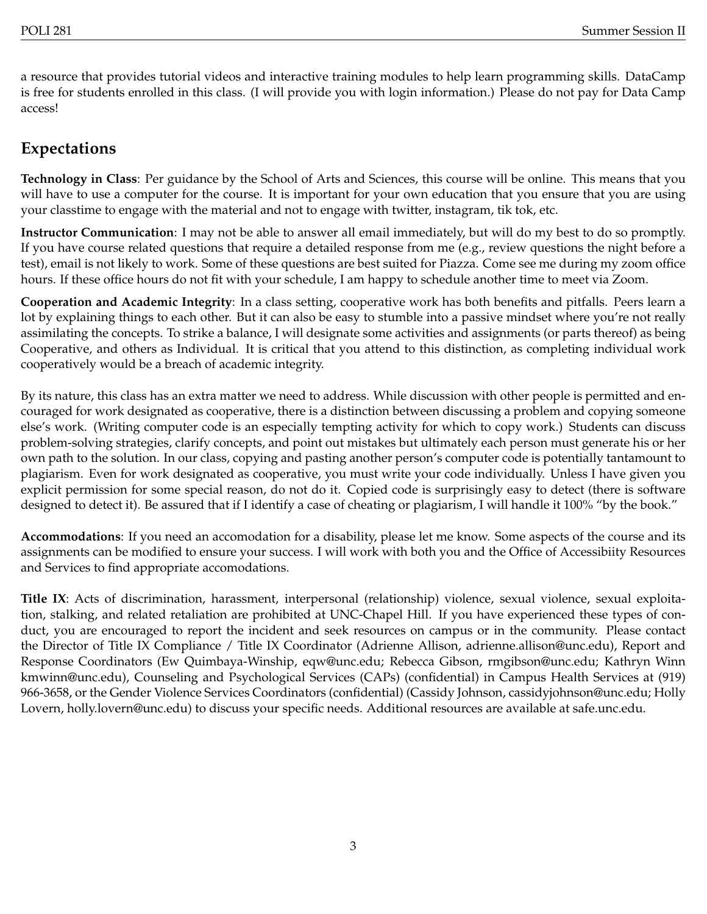a resource that provides tutorial videos and interactive training modules to help learn programming skills. DataCamp is free for students enrolled in this class. (I will provide you with login information.) Please do not pay for Data Camp access!

#### **Expectations**

**Technology in Class**: Per guidance by the School of Arts and Sciences, this course will be online. This means that you will have to use a computer for the course. It is important for your own education that you ensure that you are using your classtime to engage with the material and not to engage with twitter, instagram, tik tok, etc.

**Instructor Communication**: I may not be able to answer all email immediately, but will do my best to do so promptly. If you have course related questions that require a detailed response from me (e.g., review questions the night before a test), email is not likely to work. Some of these questions are best suited for Piazza. Come see me during my zoom office hours. If these office hours do not fit with your schedule, I am happy to schedule another time to meet via Zoom.

**Cooperation and Academic Integrity**: In a class setting, cooperative work has both benefits and pitfalls. Peers learn a lot by explaining things to each other. But it can also be easy to stumble into a passive mindset where you're not really assimilating the concepts. To strike a balance, I will designate some activities and assignments (or parts thereof) as being Cooperative, and others as Individual. It is critical that you attend to this distinction, as completing individual work cooperatively would be a breach of academic integrity.

By its nature, this class has an extra matter we need to address. While discussion with other people is permitted and encouraged for work designated as cooperative, there is a distinction between discussing a problem and copying someone else's work. (Writing computer code is an especially tempting activity for which to copy work.) Students can discuss problem-solving strategies, clarify concepts, and point out mistakes but ultimately each person must generate his or her own path to the solution. In our class, copying and pasting another person's computer code is potentially tantamount to plagiarism. Even for work designated as cooperative, you must write your code individually. Unless I have given you explicit permission for some special reason, do not do it. Copied code is surprisingly easy to detect (there is software designed to detect it). Be assured that if I identify a case of cheating or plagiarism, I will handle it 100% "by the book."

**Accommodations**: If you need an accomodation for a disability, please let me know. Some aspects of the course and its assignments can be modified to ensure your success. I will work with both you and the Office of Accessibiity Resources and Services to find appropriate accomodations.

**Title IX**: Acts of discrimination, harassment, interpersonal (relationship) violence, sexual violence, sexual exploitation, stalking, and related retaliation are prohibited at UNC-Chapel Hill. If you have experienced these types of conduct, you are encouraged to report the incident and seek resources on campus or in the community. Please contact the Director of Title IX Compliance / Title IX Coordinator (Adrienne Allison, adrienne.allison@unc.edu), Report and Response Coordinators (Ew Quimbaya-Winship, eqw@unc.edu; Rebecca Gibson, rmgibson@unc.edu; Kathryn Winn kmwinn@unc.edu), Counseling and Psychological Services (CAPs) (confidential) in Campus Health Services at (919) 966-3658, or the Gender Violence Services Coordinators (confidential) (Cassidy Johnson, cassidyjohnson@unc.edu; Holly Lovern, holly.lovern@unc.edu) to discuss your specific needs. Additional resources are available at safe.unc.edu.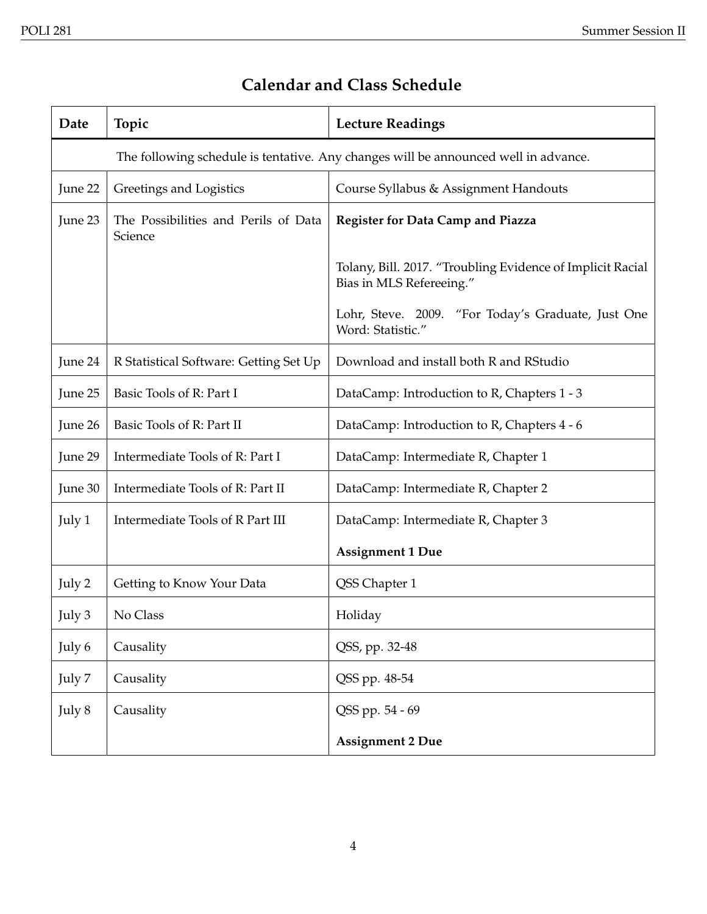| Date    | Topic                                                                               | <b>Lecture Readings</b>                                                                |  |
|---------|-------------------------------------------------------------------------------------|----------------------------------------------------------------------------------------|--|
|         | The following schedule is tentative. Any changes will be announced well in advance. |                                                                                        |  |
| June 22 | Greetings and Logistics                                                             | Course Syllabus & Assignment Handouts                                                  |  |
| June 23 | The Possibilities and Perils of Data<br>Science                                     | <b>Register for Data Camp and Piazza</b>                                               |  |
|         |                                                                                     | Tolany, Bill. 2017. "Troubling Evidence of Implicit Racial<br>Bias in MLS Refereeing." |  |
|         |                                                                                     | Lohr, Steve. 2009. "For Today's Graduate, Just One<br>Word: Statistic."                |  |
| June 24 | R Statistical Software: Getting Set Up                                              | Download and install both R and RStudio                                                |  |
| June 25 | Basic Tools of R: Part I                                                            | DataCamp: Introduction to R, Chapters 1 - 3                                            |  |
| June 26 | Basic Tools of R: Part II                                                           | DataCamp: Introduction to R, Chapters 4 - 6                                            |  |
| June 29 | Intermediate Tools of R: Part I                                                     | DataCamp: Intermediate R, Chapter 1                                                    |  |
| June 30 | Intermediate Tools of R: Part II                                                    | DataCamp: Intermediate R, Chapter 2                                                    |  |
| July 1  | Intermediate Tools of R Part III                                                    | DataCamp: Intermediate R, Chapter 3                                                    |  |
|         |                                                                                     | <b>Assignment 1 Due</b>                                                                |  |
| July 2  | Getting to Know Your Data                                                           | QSS Chapter 1                                                                          |  |
| July 3  | No Class                                                                            | Holiday                                                                                |  |
| July 6  | Causality                                                                           | QSS, pp. 32-48                                                                         |  |
| July 7  | Causality                                                                           | QSS pp. 48-54                                                                          |  |
| July 8  | Causality                                                                           | QSS pp. 54 - 69                                                                        |  |
|         |                                                                                     | <b>Assignment 2 Due</b>                                                                |  |

## **Calendar and Class Schedule**